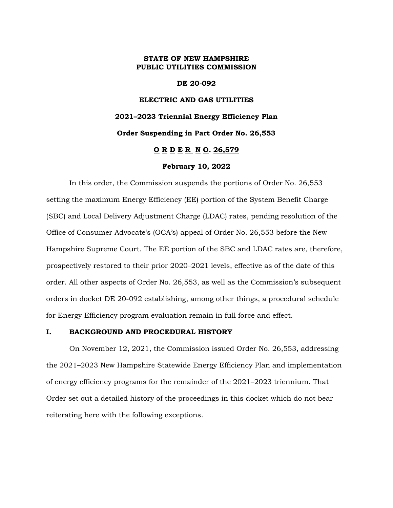#### **STATE OF NEW HAMPSHIRE PUBLIC UTILITIES COMMISSION**

**DE 20-092**

# **ELECTRIC AND GAS UTILITIES 2021–2023 Triennial Energy Efficiency Plan Order Suspending in Part Order No. 26,553 O R D E R N O. 26,579 February 10, 2022**

In this order, the Commission suspends the portions of Order No. 26,553 setting the maximum Energy Efficiency (EE) portion of the System Benefit Charge (SBC) and Local Delivery Adjustment Charge (LDAC) rates, pending resolution of the Office of Consumer Advocate's (OCA's) appeal of Order No. 26,553 before the New Hampshire Supreme Court. The EE portion of the SBC and LDAC rates are, therefore, prospectively restored to their prior 2020–2021 levels, effective as of the date of this order. All other aspects of Order No. 26,553, as well as the Commission's subsequent orders in docket DE 20-092 establishing, among other things, a procedural schedule for Energy Efficiency program evaluation remain in full force and effect.

#### **I. BACKGROUND AND PROCEDURAL HISTORY**

On November 12, 2021, the Commission issued Order No. 26,553, addressing the 2021–2023 New Hampshire Statewide Energy Efficiency Plan and implementation of energy efficiency programs for the remainder of the 2021–2023 triennium. That Order set out a detailed history of the proceedings in this docket which do not bear reiterating here with the following exceptions.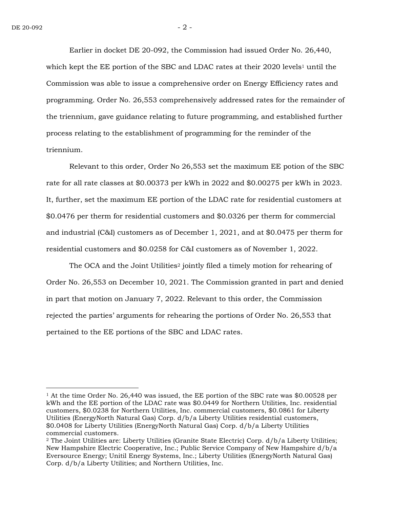Earlier in docket DE 20-092, the Commission had issued Order No. 26,440, which kept the EE portion of the SBC and LDAC rates at their 2020 levels<sup>1</sup> until the Commission was able to issue a comprehensive order on Energy Efficiency rates and programming. Order No. 26,553 comprehensively addressed rates for the remainder of the triennium, gave guidance relating to future programming, and established further process relating to the establishment of programming for the reminder of the triennium.

Relevant to this order, Order No 26,553 set the maximum EE potion of the SBC rate for all rate classes at \$0.00373 per kWh in 2022 and \$0.00275 per kWh in 2023. It, further, set the maximum EE portion of the LDAC rate for residential customers at \$0.0476 per therm for residential customers and \$0.0326 per therm for commercial and industrial (C&I) customers as of December 1, 2021, and at \$0.0475 per therm for residential customers and \$0.0258 for C&I customers as of November 1, 2022.

The OCA and the Joint Utilities<sup>2</sup> jointly filed a timely motion for rehearing of Order No. 26,553 on December 10, 2021. The Commission granted in part and denied in part that motion on January 7, 2022. Relevant to this order, the Commission rejected the parties' arguments for rehearing the portions of Order No. 26,553 that pertained to the EE portions of the SBC and LDAC rates.

<sup>1</sup> At the time Order No. 26,440 was issued, the EE portion of the SBC rate was \$0.00528 per kWh and the EE portion of the LDAC rate was \$0.0449 for Northern Utilities, Inc. residential customers, \$0.0238 for Northern Utilities, Inc. commercial customers, \$0.0861 for Liberty Utilities (EnergyNorth Natural Gas) Corp. d/b/a Liberty Utilities residential customers, \$0.0408 for Liberty Utilities (EnergyNorth Natural Gas) Corp. d/b/a Liberty Utilities commercial customers.

<sup>2</sup> The Joint Utilities are: Liberty Utilities (Granite State Electric) Corp. d/b/a Liberty Utilities; New Hampshire Electric Cooperative, Inc.; Public Service Company of New Hampshire d/b/a Eversource Energy; Unitil Energy Systems, Inc.; Liberty Utilities (EnergyNorth Natural Gas) Corp. d/b/a Liberty Utilities; and Northern Utilities, Inc.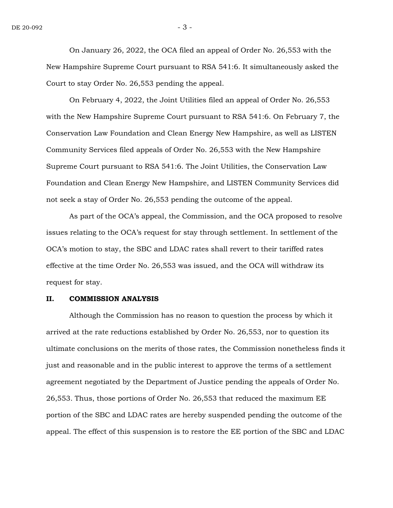On January 26, 2022, the OCA filed an appeal of Order No. 26,553 with the New Hampshire Supreme Court pursuant to RSA 541:6. It simultaneously asked the Court to stay Order No. 26,553 pending the appeal.

On February 4, 2022, the Joint Utilities filed an appeal of Order No. 26,553 with the New Hampshire Supreme Court pursuant to RSA 541:6. On February 7, the Conservation Law Foundation and Clean Energy New Hampshire, as well as LISTEN Community Services filed appeals of Order No. 26,553 with the New Hampshire Supreme Court pursuant to RSA 541:6. The Joint Utilities, the Conservation Law Foundation and Clean Energy New Hampshire, and LISTEN Community Services did not seek a stay of Order No. 26,553 pending the outcome of the appeal.

As part of the OCA's appeal, the Commission, and the OCA proposed to resolve issues relating to the OCA's request for stay through settlement. In settlement of the OCA's motion to stay, the SBC and LDAC rates shall revert to their tariffed rates effective at the time Order No. 26,553 was issued, and the OCA will withdraw its request for stay.

#### **II. COMMISSION ANALYSIS**

Although the Commission has no reason to question the process by which it arrived at the rate reductions established by Order No. 26,553, nor to question its ultimate conclusions on the merits of those rates, the Commission nonetheless finds it just and reasonable and in the public interest to approve the terms of a settlement agreement negotiated by the Department of Justice pending the appeals of Order No. 26,553. Thus, those portions of Order No. 26,553 that reduced the maximum EE portion of the SBC and LDAC rates are hereby suspended pending the outcome of the appeal. The effect of this suspension is to restore the EE portion of the SBC and LDAC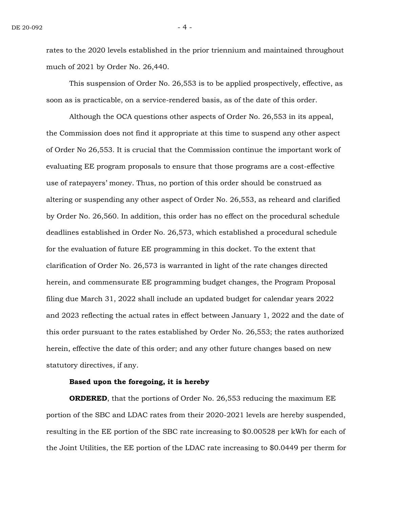rates to the 2020 levels established in the prior triennium and maintained throughout much of 2021 by Order No. 26,440.

This suspension of Order No. 26,553 is to be applied prospectively, effective, as soon as is practicable, on a service-rendered basis, as of the date of this order.

Although the OCA questions other aspects of Order No. 26,553 in its appeal, the Commission does not find it appropriate at this time to suspend any other aspect of Order No 26,553. It is crucial that the Commission continue the important work of evaluating EE program proposals to ensure that those programs are a cost-effective use of ratepayers' money. Thus, no portion of this order should be construed as altering or suspending any other aspect of Order No. 26,553, as reheard and clarified by Order No. 26,560. In addition, this order has no effect on the procedural schedule deadlines established in Order No. 26,573, which established a procedural schedule for the evaluation of future EE programming in this docket. To the extent that clarification of Order No. 26,573 is warranted in light of the rate changes directed herein, and commensurate EE programming budget changes, the Program Proposal filing due March 31, 2022 shall include an updated budget for calendar years 2022 and 2023 reflecting the actual rates in effect between January 1, 2022 and the date of this order pursuant to the rates established by Order No. 26,553; the rates authorized herein, effective the date of this order; and any other future changes based on new statutory directives, if any.

#### **Based upon the foregoing, it is hereby**

**ORDERED**, that the portions of Order No. 26,553 reducing the maximum EE portion of the SBC and LDAC rates from their 2020-2021 levels are hereby suspended, resulting in the EE portion of the SBC rate increasing to \$0.00528 per kWh for each of the Joint Utilities, the EE portion of the LDAC rate increasing to \$0.0449 per therm for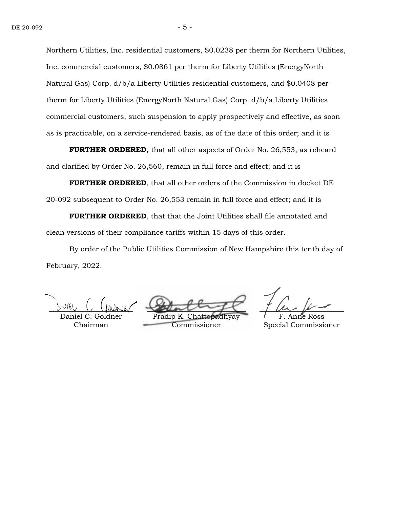Northern Utilities, Inc. residential customers, \$0.0238 per therm for Northern Utilities, Inc. commercial customers, \$0.0861 per therm for Liberty Utilities (EnergyNorth Natural Gas) Corp. d/b/a Liberty Utilities residential customers, and \$0.0408 per therm for Liberty Utilities (EnergyNorth Natural Gas) Corp. d/b/a Liberty Utilities commercial customers, such suspension to apply prospectively and effective, as soon as is practicable, on a service-rendered basis, as of the date of this order; and it is

**FURTHER ORDERED,** that all other aspects of Order No. 26,553, as reheard and clarified by Order No. 26,560, remain in full force and effect; and it is

**FURTHER ORDERED**, that all other orders of the Commission in docket DE 20-092 subsequent to Order No. 26,553 remain in full force and effect; and it is

**FURTHER ORDERED**, that that the Joint Utilities shall file annotated and clean versions of their compliance tariffs within 15 days of this order.

By order of the Public Utilities Commission of New Hampshire this tenth day of February, 2022.

Daniel C. Goldner Chairman

Pradip K. Chattopadhyay Commissioner

Anne Ross Special Commissioner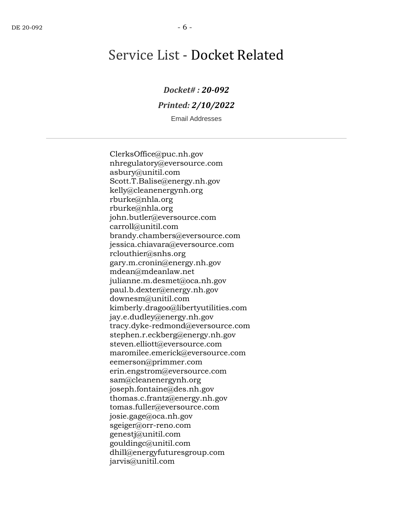## Service List - Docket Related

### *Docket# : 20-092*

### *Printed: 2/10/2022*

Email Addresses

ClerksOffice@puc.nh.gov nhregulatory@eversource.com asbury@unitil.com Scott.T.Balise@energy.nh.gov kelly@cleanenergynh.org rburke@nhla.org rburke@nhla.org john.butler@eversource.com carroll@unitil.com brandy.chambers@eversource.com jessica.chiavara@eversource.com rclouthier@snhs.org gary.m.cronin@energy.nh.gov mdean@mdeanlaw.net julianne.m.desmet@oca.nh.gov paul.b.dexter@energy.nh.gov downesm@unitil.com kimberly.dragoo@libertyutilities.com jay.e.dudley@energy.nh.gov tracy.dyke-redmond@eversource.com stephen.r.eckberg@energy.nh.gov steven.elliott@eversource.com maromilee.emerick@eversource.com eemerson@primmer.com erin.engstrom@eversource.com sam@cleanenergynh.org joseph.fontaine@des.nh.gov thomas.c.frantz@energy.nh.gov tomas.fuller@eversource.com josie.gage@oca.nh.gov sgeiger@orr-reno.com genestj@unitil.com gouldingc@unitil.com dhill@energyfuturesgroup.com jarvis@unitil.com